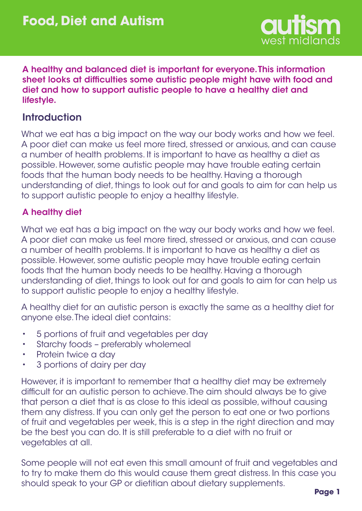

A healthy and balanced diet is important for everyone. This information sheet looks at difficulties some autistic people might have with food and diet and how to support autistic people to have a healthy diet and lifestyle.

## **Introduction**

What we eat has a big impact on the way our body works and how we feel. A poor diet can make us feel more tired, stressed or anxious, and can cause a number of health problems. It is important to have as healthy a diet as possible. However, some autistic people may have trouble eating certain foods that the human body needs to be healthy. Having a thorough understanding of diet, things to look out for and goals to aim for can help us to support autistic people to enjoy a healthy lifestyle.

### A healthy diet

What we eat has a big impact on the way our body works and how we feel. A poor diet can make us feel more tired, stressed or anxious, and can cause a number of health problems. It is important to have as healthy a diet as possible. However, some autistic people may have trouble eating certain foods that the human body needs to be healthy. Having a thorough understanding of diet, things to look out for and goals to aim for can help us to support autistic people to enjoy a healthy lifestyle.

A healthy diet for an autistic person is exactly the same as a healthy diet for anyone else. The ideal diet contains:

- 5 portions of fruit and vegetables per day •
- Starchy foods preferably wholemeal •
- Protein twice a day •
- 3 portions of dairy per day •

However, it is important to remember that a healthy diet may be extremely difficult for an autistic person to achieve. The aim should always be to give that person a diet that is as close to this ideal as possible, without causing them any distress. If you can only get the person to eat one or two portions of fruit and vegetables per week, this is a step in the right direction and may be the best you can do. It is still preferable to a diet with no fruit or vegetables at all.

Some people will not eat even this small amount of fruit and vegetables and to try to make them do this would cause them great distress. In this case you should speak to your GP or dietitian about dietary supplements.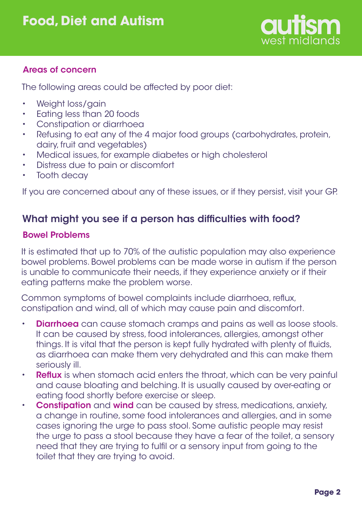

### Areas of concern

The following areas could be affected by poor diet:

- Weight loss/gain •
- Eating less than 20 foods •
- Constipation or diarrhoea •
- Refusing to eat any of the 4 major food groups (carbohydrates, protein, dairy, fruit and vegetables) •
- Medical issues, for example diabetes or high cholesterol •
- Distress due to pain or discomfort •
- Tooth decay •

If you are concerned about any of these issues, or if they persist, visit your GP.

# What might you see if a person has difficulties with food?

### Bowel Problems

It is estimated that up to 70% of the autistic population may also experience bowel problems. Bowel problems can be made worse in autism if the person is unable to communicate their needs, if they experience anxiety or if their eating patterns make the problem worse.

Common symptoms of bowel complaints include diarrhoea, reflux, constipation and wind, all of which may cause pain and discomfort.

- **Diarrhoea** can cause stomach cramps and pains as well as loose stools. It can be caused by stress, food intolerances, allergies, amongst other things. It is vital that the person is kept fully hydrated with plenty of fluids, as diarrhoea can make them very dehydrated and this can make them seriously ill. •
- **Reflux** is when stomach acid enters the throat, which can be very painful and cause bloating and belching. It is usually caused by over-eating or eating food shortly before exercise or sleep. •
- **Constipation** and **wind** can be caused by stress, medications, anxiety, a change in routine, some food intolerances and allergies, and in some cases ignoring the urge to pass stool. Some autistic people may resist the urge to pass a stool because they have a fear of the toilet, a sensory need that they are trying to fulfil or a sensory input from going to the toilet that they are trying to avoid. •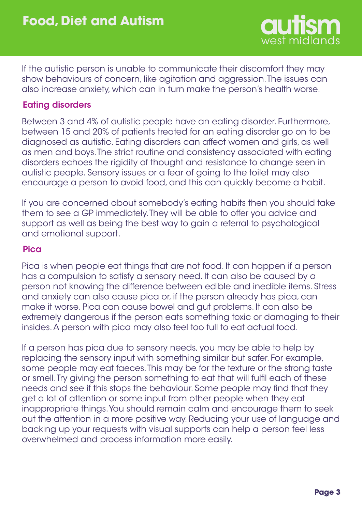

If the autistic person is unable to communicate their discomfort they may show behaviours of concern, like agitation and aggression. The issues can also increase anxiety, which can in turn make the person's health worse.

#### Eating disorders

Between 3 and 4% of autistic people have an eating disorder. Furthermore, between 15 and 20% of patients treated for an eating disorder go on to be diagnosed as autistic. Eating disorders can affect women and girls, as well as men and boys. The strict routine and consistency associated with eating disorders echoes the rigidity of thought and resistance to change seen in autistic people. Sensory issues or a fear of going to the toilet may also encourage a person to avoid food, and this can quickly become a habit.

If you are concerned about somebody's eating habits then you should take them to see a GP immediately. They will be able to offer you advice and support as well as being the best way to gain a referral to psychological and emotional support.

#### Pica

Pica is when people eat things that are not food. It can happen if a person has a compulsion to satisfy a sensory need. It can also be caused by a person not knowing the difference between edible and inedible items. Stress and anxiety can also cause pica or, if the person already has pica, can make it worse. Pica can cause bowel and gut problems. It can also be extremely dangerous if the person eats something toxic or damaging to their insides. A person with pica may also feel too full to eat actual food.

If a person has pica due to sensory needs, you may be able to help by replacing the sensory input with something similar but safer. For example, some people may eat faeces. This may be for the texture or the strong taste or smell. Try giving the person something to eat that will fulfil each of these needs and see if this stops the behaviour. Some people may find that they get a lot of attention or some input from other people when they eat inappropriate things. You should remain calm and encourage them to seek out the attention in a more positive way. Reducing your use of language and backing up your requests with visual supports can help a person feel less overwhelmed and process information more easily.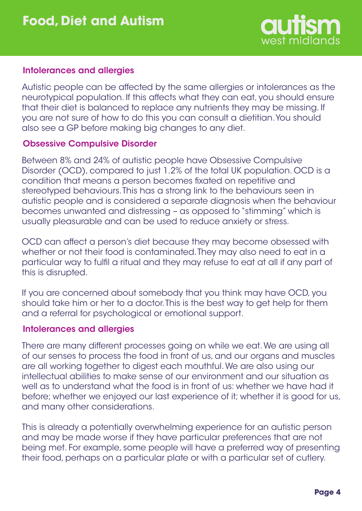

#### Intolerances and allergies

Autistic people can be affected by the same allergies or intolerances as the neurotypical population. If this affects what they can eat, you should ensure that their diet is balanced to replace any nutrients they may be missing. If you are not sure of how to do this you can consult a dietitian. You should also see a GP before making big changes to any diet.

#### Obsessive Compulsive Disorder

Between 8% and 24% of autistic people have Obsessive Compulsive Disorder (OCD), compared to just 1.2% of the total UK population. OCD is a condition that means a person becomes fixated on repetitive and stereotyped behaviours. This has a strong link to the behaviours seen in autistic people and is considered a separate diagnosis when the behaviour becomes unwanted and distressing – as opposed to "stimming" which is usually pleasurable and can be used to reduce anxiety or stress.

OCD can affect a person's diet because they may become obsessed with whether or not their food is contaminated. They may also need to eat in a particular way to fulfil a ritual and they may refuse to eat at all if any part of this is disrupted.

If you are concerned about somebody that you think may have OCD, you should take him or her to a doctor. This is the best way to get help for them and a referral for psychological or emotional support.

#### Intolerances and allergies

There are many different processes going on while we eat. We are using all of our senses to process the food in front of us, and our organs and muscles are all working together to digest each mouthful. We are also using our intellectual abilities to make sense of our environment and our situation as well as to understand what the food is in front of us: whether we have had it before; whether we enjoyed our last experience of it; whether it is good for us, and many other considerations.

This is already a potentially overwhelming experience for an autistic person and may be made worse if they have particular preferences that are not being met. For example, some people will have a preferred way of presenting their food, perhaps on a particular plate or with a particular set of cutlery.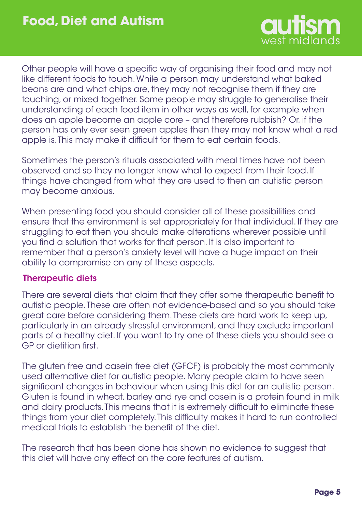

Other people will have a specific way of organising their food and may not like different foods to touch. While a person may understand what baked beans are and what chips are, they may not recognise them if they are touching, or mixed together. Some people may struggle to generalise their understanding of each food item in other ways as well, for example when does an apple become an apple core – and therefore rubbish? Or, if the person has only ever seen green apples then they may not know what a red apple is. This may make it difficult for them to eat certain foods.

Sometimes the person's rituals associated with meal times have not been observed and so they no longer know what to expect from their food. If things have changed from what they are used to then an autistic person may become anxious.

When presenting food you should consider all of these possibilities and ensure that the environment is set appropriately for that individual. If they are struggling to eat then you should make alterations wherever possible until you find a solution that works for that person. It is also important to remember that a person's anxiety level will have a huge impact on their ability to compromise on any of these aspects.

#### Therapeutic diets

There are several diets that claim that they offer some therapeutic benefit to autistic people. These are often not evidence-based and so you should take great care before considering them. These diets are hard work to keep up, particularly in an already stressful environment, and they exclude important parts of a healthy diet. If you want to try one of these diets you should see a GP or dietitian first.

The gluten free and casein free diet (GFCF) is probably the most commonly used alternative diet for autistic people. Many people claim to have seen significant changes in behaviour when using this diet for an autistic person. Gluten is found in wheat, barley and rye and casein is a protein found in milk and dairy products. This means that it is extremely difficult to eliminate these things from your diet completely. This difficulty makes it hard to run controlled medical trials to establish the benefit of the diet.

The research that has been done has shown no evidence to suggest that this diet will have any effect on the core features of autism.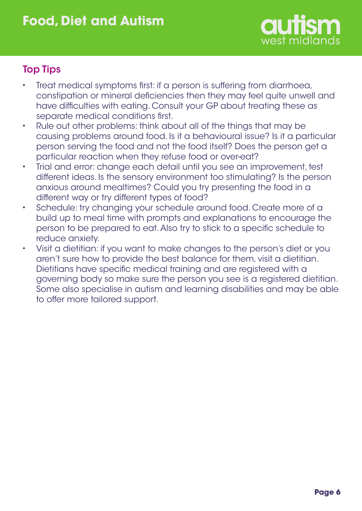

# Top Tips

- Treat medical symptoms first: if a person is suffering from diarrhoea, constipation or mineral deficiencies then they may feel quite unwell and have difficulties with eating. Consult your GP about treating these as separate medical conditions first. •
- Rule out other problems: think about all of the things that may be causing problems around food. Is it a behavioural issue? Is it a particular person serving the food and not the food itself? Does the person get a particular reaction when they refuse food or over-eat? •
- Trial and error: change each detail until you see an improvement, test different ideas. Is the sensory environment too stimulating? Is the person anxious around mealtimes? Could you try presenting the food in a different way or try different types of food? •
- Schedule: try changing your schedule around food. Create more of a build up to meal time with prompts and explanations to encourage the person to be prepared to eat. Also try to stick to a specific schedule to reduce anxiety. •
- Visit a dietitian: if you want to make changes to the person's diet or you aren't sure how to provide the best balance for them, visit a dietitian. Dietitians have specific medical training and are registered with a governing body so make sure the person you see is a registered dietitian. Some also specialise in autism and learning disabilities and may be able to offer more tailored support. •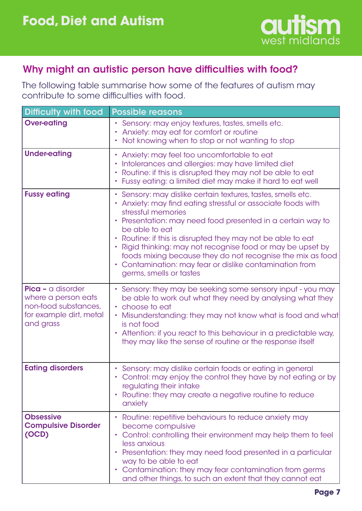

## Why might an autistic person have difficulties with food?

The following table summarise how some of the features of autism may contribute to some difficulties with food.

| <b>Difficulty with food</b>                                                                              | <b>Possible reasons</b>                                                                                                                                                                                                                                                                                                                                                                                                                                                                                          |
|----------------------------------------------------------------------------------------------------------|------------------------------------------------------------------------------------------------------------------------------------------------------------------------------------------------------------------------------------------------------------------------------------------------------------------------------------------------------------------------------------------------------------------------------------------------------------------------------------------------------------------|
| <b>Over-eating</b>                                                                                       | Sensory: may enjoy textures, tastes, smells etc.<br>Anxiety: may eat for comfort or routine<br>Not knowing when to stop or not wanting to stop                                                                                                                                                                                                                                                                                                                                                                   |
| <b>Under-eating</b>                                                                                      | Anxiety: may feel too uncomfortable to eat<br>Intolerances and allergies: may have limited diet<br>Routine: if this is disrupted they may not be able to eat<br>• Fussy eating: a limited diet may make it hard to eat well                                                                                                                                                                                                                                                                                      |
| <b>Fussy eating</b>                                                                                      | Sensory: may dislike certain textures, tastes, smells etc.<br>Anxiety: may find eating stressful or associate foods with<br>stressful memories<br>Presentation: may need food presented in a certain way to<br>be able to eat<br>Routine: if this is disrupted they may not be able to eat<br>٠<br>Rigid thinking: may not recognise food or may be upset by<br>foods mixing because they do not recognise the mix as food<br>• Contamination: may fear or dislike contamination from<br>germs, smells or tastes |
| Pica - a disorder<br>where a person eats<br>non-food substances,<br>for example dirt, metal<br>and grass | Sensory: they may be seeking some sensory input - you may<br>be able to work out what they need by analysing what they<br>• choose to eat<br>Misunderstanding: they may not know what is food and what<br>is not food<br>Attention: if you react to this behaviour in a predictable way,<br>$\bullet$<br>they may like the sense of routine or the response itself                                                                                                                                               |
| <b>Eating disorders</b>                                                                                  | Sensory: may dislike certain foods or eating in general<br>• Control: may enjoy the control they have by not eating or by<br>regulating their intake<br>Routine: they may create a negative routine to reduce<br>٠<br>anxiety                                                                                                                                                                                                                                                                                    |
| <b>Obsessive</b><br><b>Compulsive Disorder</b><br>(OCD)                                                  | Routine: repetitive behaviours to reduce anxiety may<br>become compulsive<br>Control: controlling their environment may help them to feel<br>٠<br>less anxious<br>Presentation: they may need food presented in a particular<br>way to be able to eat<br>Contamination: they may fear contamination from germs<br>and other things, to such an extent that they cannot eat                                                                                                                                       |